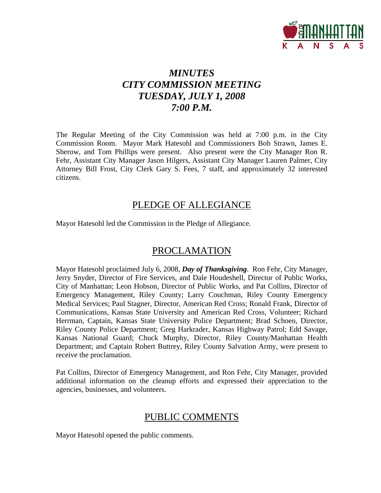

# *MINUTES CITY COMMISSION MEETING TUESDAY, JULY 1, 2008 7:00 P.M.*

The Regular Meeting of the City Commission was held at 7:00 p.m. in the City Commission Room. Mayor Mark Hatesohl and Commissioners Bob Strawn, James E. Sherow, and Tom Phillips were present. Also present were the City Manager Ron R. Fehr, Assistant City Manager Jason Hilgers, Assistant City Manager Lauren Palmer, City Attorney Bill Frost, City Clerk Gary S. Fees, 7 staff, and approximately 32 interested citizens.

## PLEDGE OF ALLEGIANCE

Mayor Hatesohl led the Commission in the Pledge of Allegiance.

# PROCLAMATION

Mayor Hatesohl proclaimed July 6, 2008, *Day of Thanksgiving*. Ron Fehr, City Manager, Jerry Snyder, Director of Fire Services, and Dale Houdeshell, Director of Public Works, City of Manhattan; Leon Hobson, Director of Public Works, and Pat Collins, Director of Emergency Management, Riley County; Larry Couchman, Riley County Emergency Medical Services; Paul Stagner, Director, American Red Cross; Ronald Frank, Director of Communications, Kansas State University and American Red Cross, Volunteer; Richard Herrman, Captain, Kansas State University Police Department; Brad Schoen, Director, Riley County Police Department; Greg Harkrader, Kansas Highway Patrol; Edd Savage, Kansas National Guard; Chuck Murphy, Director, Riley County/Manhattan Health Department; and Captain Robert Buttrey, Riley County Salvation Army, were present to receive the proclamation.

Pat Collins, Director of Emergency Management, and Ron Fehr, City Manager, provided additional information on the cleanup efforts and expressed their appreciation to the agencies, businesses, and volunteers.

# PUBLIC COMMENTS

Mayor Hatesohl opened the public comments.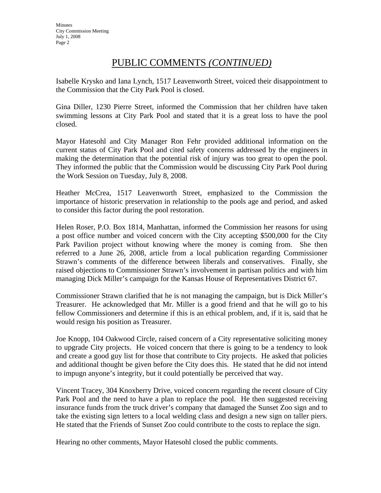# PUBLIC COMMENTS *(CONTINUED)*

Isabelle Krysko and Iana Lynch, 1517 Leavenworth Street, voiced their disappointment to the Commission that the City Park Pool is closed.

Gina Diller, 1230 Pierre Street, informed the Commission that her children have taken swimming lessons at City Park Pool and stated that it is a great loss to have the pool closed.

Mayor Hatesohl and City Manager Ron Fehr provided additional information on the current status of City Park Pool and cited safety concerns addressed by the engineers in making the determination that the potential risk of injury was too great to open the pool. They informed the public that the Commission would be discussing City Park Pool during the Work Session on Tuesday, July 8, 2008.

Heather McCrea, 1517 Leavenworth Street, emphasized to the Commission the importance of historic preservation in relationship to the pools age and period, and asked to consider this factor during the pool restoration.

Helen Roser, P.O. Box 1814, Manhattan, informed the Commission her reasons for using a post office number and voiced concern with the City accepting \$500,000 for the City Park Pavilion project without knowing where the money is coming from. She then referred to a June 26, 2008, article from a local publication regarding Commissioner Strawn's comments of the difference between liberals and conservatives. Finally, she raised objections to Commissioner Strawn's involvement in partisan politics and with him managing Dick Miller's campaign for the Kansas House of Representatives District 67.

Commissioner Strawn clarified that he is not managing the campaign, but is Dick Miller's Treasurer. He acknowledged that Mr. Miller is a good friend and that he will go to his fellow Commissioners and determine if this is an ethical problem, and, if it is, said that he would resign his position as Treasurer.

Joe Knopp, 104 Oakwood Circle, raised concern of a City representative soliciting money to upgrade City projects. He voiced concern that there is going to be a tendency to look and create a good guy list for those that contribute to City projects. He asked that policies and additional thought be given before the City does this. He stated that he did not intend to impugn anyone's integrity, but it could potentially be perceived that way.

Vincent Tracey, 304 Knoxberry Drive, voiced concern regarding the recent closure of City Park Pool and the need to have a plan to replace the pool. He then suggested receiving insurance funds from the truck driver's company that damaged the Sunset Zoo sign and to take the existing sign letters to a local welding class and design a new sign on taller piers. He stated that the Friends of Sunset Zoo could contribute to the costs to replace the sign.

Hearing no other comments, Mayor Hatesohl closed the public comments.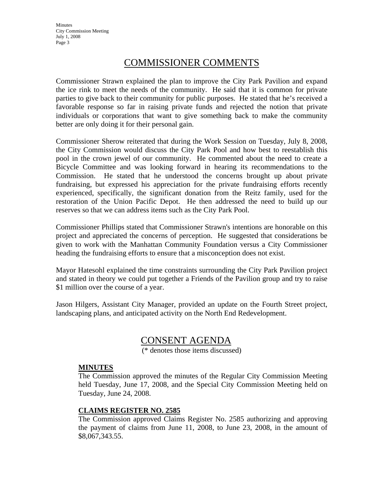**Minutes** City Commission Meeting July 1, 2008 Page 3

# COMMISSIONER COMMENTS

Commissioner Strawn explained the plan to improve the City Park Pavilion and expand the ice rink to meet the needs of the community. He said that it is common for private parties to give back to their community for public purposes. He stated that he's received a favorable response so far in raising private funds and rejected the notion that private individuals or corporations that want to give something back to make the community better are only doing it for their personal gain.

Commissioner Sherow reiterated that during the Work Session on Tuesday, July 8, 2008, the City Commission would discuss the City Park Pool and how best to reestablish this pool in the crown jewel of our community. He commented about the need to create a Bicycle Committee and was looking forward in hearing its recommendations to the Commission. He stated that he understood the concerns brought up about private fundraising, but expressed his appreciation for the private fundraising efforts recently experienced, specifically, the significant donation from the Reitz family, used for the restoration of the Union Pacific Depot. He then addressed the need to build up our reserves so that we can address items such as the City Park Pool.

Commissioner Phillips stated that Commissioner Strawn's intentions are honorable on this project and appreciated the concerns of perception. He suggested that considerations be given to work with the Manhattan Community Foundation versus a City Commissioner heading the fundraising efforts to ensure that a misconception does not exist.

Mayor Hatesohl explained the time constraints surrounding the City Park Pavilion project and stated in theory we could put together a Friends of the Pavilion group and try to raise \$1 million over the course of a year.

Jason Hilgers, Assistant City Manager, provided an update on the Fourth Street project, landscaping plans, and anticipated activity on the North End Redevelopment.

## CONSENT AGENDA

(\* denotes those items discussed)

#### **MINUTES**

The Commission approved the minutes of the Regular City Commission Meeting held Tuesday, June 17, 2008, and the Special City Commission Meeting held on Tuesday, June 24, 2008.

#### **CLAIMS REGISTER NO. 2585**

The Commission approved Claims Register No. 2585 authorizing and approving the payment of claims from June 11, 2008, to June 23, 2008, in the amount of \$8,067,343.55.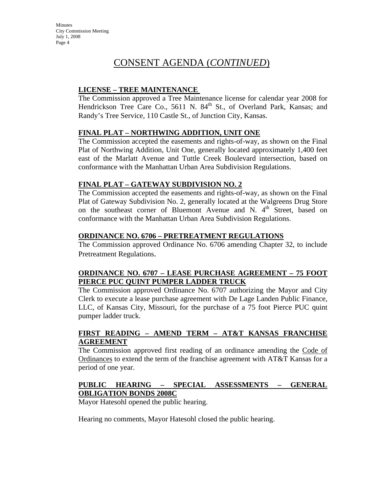**Minutes** City Commission Meeting July 1, 2008 Page 4

# CONSENT AGENDA (*CONTINUED*)

### **LICENSE – TREE MAINTENANCE**

The Commission approved a Tree Maintenance license for calendar year 2008 for Hendrickson Tree Care Co., 5611 N. 84<sup>th</sup> St., of Overland Park, Kansas; and Randy's Tree Service, 110 Castle St., of Junction City, Kansas.

#### **FINAL PLAT – NORTHWING ADDITION, UNIT ONE**

The Commission accepted the easements and rights-of-way, as shown on the Final Plat of Northwing Addition, Unit One, generally located approximately 1,400 feet east of the Marlatt Avenue and Tuttle Creek Boulevard intersection, based on conformance with the Manhattan Urban Area Subdivision Regulations.

#### **FINAL PLAT – GATEWAY SUBDIVISION NO. 2**

The Commission accepted the easements and rights-of-way, as shown on the Final Plat of Gateway Subdivision No. 2, generally located at the Walgreens Drug Store on the southeast corner of Bluemont Avenue and N. 4<sup>th</sup> Street, based on conformance with the Manhattan Urban Area Subdivision Regulations.

#### **ORDINANCE NO. 6706 – PRETREATMENT REGULATIONS**

The Commission approved Ordinance No. 6706 amending Chapter 32, to include Pretreatment Regulations.

### **ORDINANCE NO. 6707 – LEASE PURCHASE AGREEMENT – 75 FOOT PIERCE PUC QUINT PUMPER LADDER TRUCK**

The Commission approved Ordinance No. 6707 authorizing the Mayor and City Clerk to execute a lease purchase agreement with De Lage Landen Public Finance, LLC, of Kansas City, Missouri, for the purchase of a 75 foot Pierce PUC quint pumper ladder truck.

#### **FIRST READING – AMEND TERM – AT&T KANSAS FRANCHISE AGREEMENT**

The Commission approved first reading of an ordinance amending the Code of Ordinances to extend the term of the franchise agreement with AT&T Kansas for a period of one year.

### **PUBLIC HEARING – SPECIAL ASSESSMENTS – GENERAL OBLIGATION BONDS 2008C**

Mayor Hatesohl opened the public hearing.

Hearing no comments, Mayor Hatesohl closed the public hearing.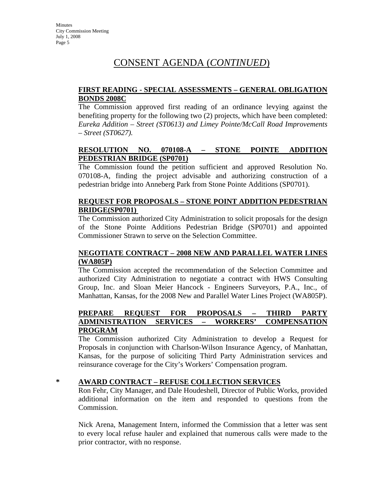# CONSENT AGENDA (*CONTINUED*)

#### **FIRST READING - SPECIAL ASSESSMENTS – GENERAL OBLIGATION BONDS 2008C**

The Commission approved first reading of an ordinance levying against the benefiting property for the following two (2) projects, which have been completed: *Eureka Addition – Street (ST0613) and Limey Pointe/McCall Road Improvements – Street (ST0627).*

### **RESOLUTION NO. 070108-A – STONE POINTE ADDITION PEDESTRIAN BRIDGE (SP0701)**

The Commission found the petition sufficient and approved Resolution No. 070108-A, finding the project advisable and authorizing construction of a pedestrian bridge into Anneberg Park from Stone Pointe Additions (SP0701).

### **REQUEST FOR PROPOSALS – STONE POINT ADDITION PEDESTRIAN BRIDGE(SP0701)**

The Commission authorized City Administration to solicit proposals for the design of the Stone Pointe Additions Pedestrian Bridge (SP0701) and appointed Commissioner Strawn to serve on the Selection Committee.

#### **NEGOTIATE CONTRACT – 2008 NEW AND PARALLEL WATER LINES (WA805P)**

The Commission accepted the recommendation of the Selection Committee and authorized City Administration to negotiate a contract with HWS Consulting Group, Inc. and Sloan Meier Hancock - Engineers Surveyors, P.A., Inc., of Manhattan, Kansas, for the 2008 New and Parallel Water Lines Project (WA805P).

### **PREPARE REQUEST FOR PROPOSALS – THIRD PARTY ADMINISTRATION SERVICES – WORKERS' COMPENSATION PROGRAM**

The Commission authorized City Administration to develop a Request for Proposals in conjunction with Charlson-Wilson Insurance Agency, of Manhattan, Kansas, for the purpose of soliciting Third Party Administration services and reinsurance coverage for the City's Workers' Compensation program.

### **\* AWARD CONTRACT – REFUSE COLLECTION SERVICES**

Ron Fehr, City Manager, and Dale Houdeshell, Director of Public Works, provided additional information on the item and responded to questions from the Commission.

Nick Arena, Management Intern, informed the Commission that a letter was sent to every local refuse hauler and explained that numerous calls were made to the prior contractor, with no response.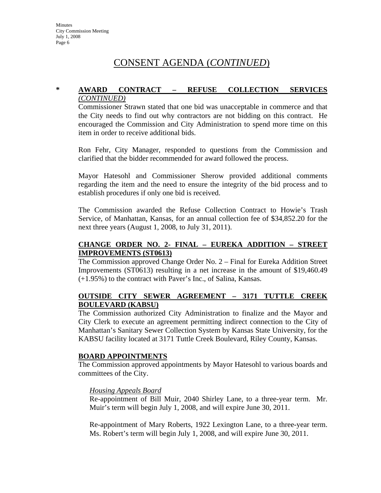# CONSENT AGENDA (*CONTINUED*)

#### **\* AWARD CONTRACT – REFUSE COLLECTION SERVICES** *(CONTINUED)*

Commissioner Strawn stated that one bid was unacceptable in commerce and that the City needs to find out why contractors are not bidding on this contract. He encouraged the Commission and City Administration to spend more time on this item in order to receive additional bids.

Ron Fehr, City Manager, responded to questions from the Commission and clarified that the bidder recommended for award followed the process.

Mayor Hatesohl and Commissioner Sherow provided additional comments regarding the item and the need to ensure the integrity of the bid process and to establish procedures if only one bid is received.

The Commission awarded the Refuse Collection Contract to Howie's Trash Service, of Manhattan, Kansas, for an annual collection fee of \$34,852.20 for the next three years (August 1, 2008, to July 31, 2011).

### **CHANGE ORDER NO. 2- FINAL – EUREKA ADDITION – STREET IMPROVEMENTS (ST0613)**

The Commission approved Change Order No. 2 – Final for Eureka Addition Street Improvements (ST0613) resulting in a net increase in the amount of \$19,460.49 (+1.95%) to the contract with Paver's Inc., of Salina, Kansas.

### **OUTSIDE CITY SEWER AGREEMENT – 3171 TUTTLE CREEK BOULEVARD (KABSU)**

The Commission authorized City Administration to finalize and the Mayor and City Clerk to execute an agreement permitting indirect connection to the City of Manhattan's Sanitary Sewer Collection System by Kansas State University, for the KABSU facility located at 3171 Tuttle Creek Boulevard, Riley County, Kansas.

#### **BOARD APPOINTMENTS**

The Commission approved appointments by Mayor Hatesohl to various boards and committees of the City.

#### *Housing Appeals Board*

Re-appointment of Bill Muir, 2040 Shirley Lane, to a three-year term. Mr. Muir's term will begin July 1, 2008, and will expire June 30, 2011.

Re-appointment of Mary Roberts, 1922 Lexington Lane, to a three-year term. Ms. Robert's term will begin July 1, 2008, and will expire June 30, 2011.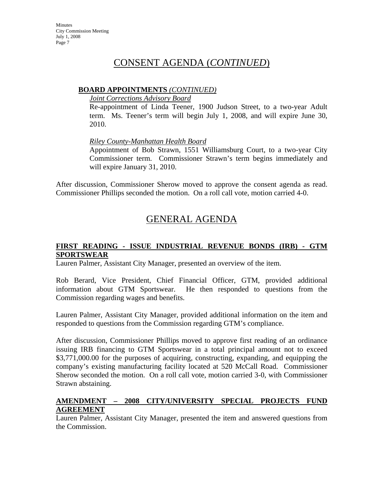# CONSENT AGENDA (*CONTINUED*)

#### **BOARD APPOINTMENTS** *(CONTINUED)*

#### *Joint Corrections Advisory Board*

Re-appointment of Linda Teener, 1900 Judson Street, to a two-year Adult term. Ms. Teener's term will begin July 1, 2008, and will expire June 30, 2010.

### *Riley County-Manhattan Health Board*

Appointment of Bob Strawn, 1551 Williamsburg Court, to a two-year City Commissioner term. Commissioner Strawn's term begins immediately and will expire January 31, 2010.

After discussion, Commissioner Sherow moved to approve the consent agenda as read. Commissioner Phillips seconded the motion. On a roll call vote, motion carried 4-0.

# GENERAL AGENDA

### **FIRST READING - ISSUE INDUSTRIAL REVENUE BONDS (IRB) - GTM SPORTSWEAR**

Lauren Palmer, Assistant City Manager, presented an overview of the item.

Rob Berard, Vice President, Chief Financial Officer, GTM, provided additional information about GTM Sportswear. He then responded to questions from the Commission regarding wages and benefits.

Lauren Palmer, Assistant City Manager, provided additional information on the item and responded to questions from the Commission regarding GTM's compliance.

After discussion, Commissioner Phillips moved to approve first reading of an ordinance issuing IRB financing to GTM Sportswear in a total principal amount not to exceed \$3,771,000.00 for the purposes of acquiring, constructing, expanding, and equipping the company's existing manufacturing facility located at 520 McCall Road. Commissioner Sherow seconded the motion. On a roll call vote, motion carried 3-0, with Commissioner Strawn abstaining.

### **AMENDMENT – 2008 CITY/UNIVERSITY SPECIAL PROJECTS FUND AGREEMENT**

Lauren Palmer, Assistant City Manager, presented the item and answered questions from the Commission.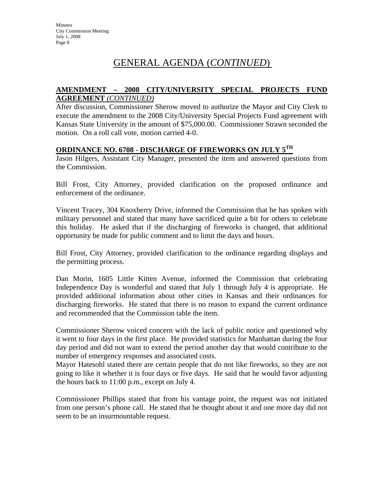# GENERAL AGENDA (*CONTINUED*)

#### **AMENDMENT – 2008 CITY/UNIVERSITY SPECIAL PROJECTS FUND AGREEMENT** *(CONTINUED)*

After discussion, Commissioner Sherow moved to authorize the Mayor and City Clerk to execute the amendment to the 2008 City/University Special Projects Fund agreement with Kansas State University in the amount of \$75,000.00. Commissioner Strawn seconded the motion. On a roll call vote, motion carried 4-0.

## **ORDINANCE NO. 6708 - DISCHARGE OF FIREWORKS ON JULY 5TH**

Jason Hilgers, Assistant City Manager, presented the item and answered questions from the Commission.

Bill Frost, City Attorney, provided clarification on the proposed ordinance and enforcement of the ordinance.

Vincent Tracey, 304 Knoxberry Drive, informed the Commission that he has spoken with military personnel and stated that many have sacrificed quite a bit for others to celebrate this holiday. He asked that if the discharging of fireworks is changed, that additional opportunity be made for public comment and to limit the days and hours.

Bill Frost, City Attorney, provided clarification to the ordinance regarding displays and the permitting process.

Dan Morin, 1605 Little Kitten Avenue, informed the Commission that celebrating Independence Day is wonderful and stated that July 1 through July 4 is appropriate. He provided additional information about other cities in Kansas and their ordinances for discharging fireworks. He stated that there is no reason to expand the current ordinance and recommended that the Commission table the item.

Commissioner Sherow voiced concern with the lack of public notice and questioned why it went to four days in the first place. He provided statistics for Manhattan during the four day period and did not want to extend the period another day that would contribute to the number of emergency responses and associated costs.

Mayor Hatesohl stated there are certain people that do not like fireworks, so they are not going to like it whether it is four days or five days. He said that he would favor adjusting the hours back to 11:00 p.m., except on July 4.

Commissioner Phillips stated that from his vantage point, the request was not initiated from one person's phone call. He stated that he thought about it and one more day did not seem to be an insurmountable request.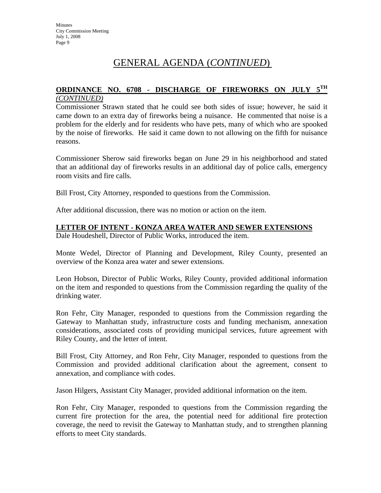# GENERAL AGENDA (*CONTINUED*)

#### **ORDINANCE NO. 6708 - DISCHARGE OF FIREWORKS ON JULY 5TH** *(CONTINUED)*

Commissioner Strawn stated that he could see both sides of issue; however, he said it came down to an extra day of fireworks being a nuisance. He commented that noise is a problem for the elderly and for residents who have pets, many of which who are spooked by the noise of fireworks. He said it came down to not allowing on the fifth for nuisance reasons.

Commissioner Sherow said fireworks began on June 29 in his neighborhood and stated that an additional day of fireworks results in an additional day of police calls, emergency room visits and fire calls.

Bill Frost, City Attorney, responded to questions from the Commission.

After additional discussion, there was no motion or action on the item.

#### **LETTER OF INTENT - KONZA AREA WATER AND SEWER EXTENSIONS**

Dale Houdeshell, Director of Public Works, introduced the item.

Monte Wedel, Director of Planning and Development, Riley County, presented an overview of the Konza area water and sewer extensions.

Leon Hobson, Director of Public Works, Riley County, provided additional information on the item and responded to questions from the Commission regarding the quality of the drinking water.

Ron Fehr, City Manager, responded to questions from the Commission regarding the Gateway to Manhattan study, infrastructure costs and funding mechanism, annexation considerations, associated costs of providing municipal services, future agreement with Riley County, and the letter of intent.

Bill Frost, City Attorney, and Ron Fehr, City Manager, responded to questions from the Commission and provided additional clarification about the agreement, consent to annexation, and compliance with codes.

Jason Hilgers, Assistant City Manager, provided additional information on the item.

Ron Fehr, City Manager, responded to questions from the Commission regarding the current fire protection for the area, the potential need for additional fire protection coverage, the need to revisit the Gateway to Manhattan study, and to strengthen planning efforts to meet City standards.